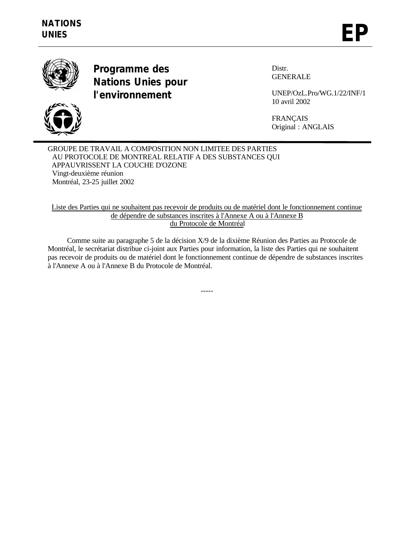



**Programme des Nations Unies pour l'environnement**

Distr. GENERALE

UNEP/OzL.Pro/WG.1/22/INF/1 10 avril 2002

FRANÇAIS Original : ANGLAIS

GROUPE DE TRAVAIL A COMPOSITION NON LIMITEE DES PARTIES AU PROTOCOLE DE MONTREAL RELATIF A DES SUBSTANCES QUI APPAUVRISSENT LA COUCHE D'OZONE Vingt-deuxième réunion Montréal, 23-25 juillet 2002

Liste des Parties qui ne souhaitent pas recevoir de produits ou de matériel dont le fonctionnement continue de dépendre de substances inscrites à l'Annexe A ou à l'Annexe B du Protocole de Montréal

Comme suite au paragraphe 5 de la décision X/9 de la dixième Réunion des Parties au Protocole de Montréal, le secrétariat distribue ci-joint aux Parties pour information, la liste des Parties qui ne souhaitent pas recevoir de produits ou de matériel dont le fonctionnement continue de dépendre de substances inscrites à l'Annexe A ou à l'Annexe B du Protocole de Montréal.

-----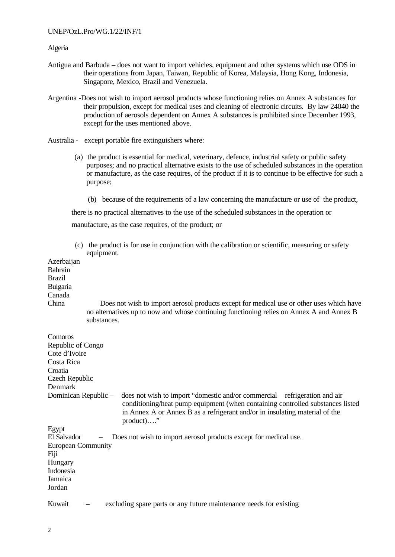## UNEP/OzL.Pro/WG.1/22/INF/1

Algeria

- Antigua and Barbuda does not want to import vehicles, equipment and other systems which use ODS in their operations from Japan, Taiwan, Republic of Korea, Malaysia, Hong Kong, Indonesia, Singapore, Mexico, Brazil and Venezuela.
- Argentina -Does not wish to import aerosol products whose functioning relies on Annex A substances for their propulsion, except for medical uses and cleaning of electronic circuits. By law 24040 the production of aerosols dependent on Annex A substances is prohibited since December 1993, except for the uses mentioned above.
- Australia except portable fire extinguishers where:
	- (a) the product is essential for medical, veterinary, defence, industrial safety or public safety purposes; and no practical alternative exists to the use of scheduled substances in the operation or manufacture, as the case requires, of the product if it is to continue to be effective for such a purpose;
		- (b) because of the requirements of a law concerning the manufacture or use of the product,

there is no practical alternatives to the use of the scheduled substances in the operation or

manufacture, as the case requires, of the product; or

 (c) the product is for use in conjunction with the calibration or scientific, measuring or safety equipment

| Azerbaijan                |                                                                                                                                                                                                                                                            |
|---------------------------|------------------------------------------------------------------------------------------------------------------------------------------------------------------------------------------------------------------------------------------------------------|
| Bahrain                   |                                                                                                                                                                                                                                                            |
| <b>Brazil</b>             |                                                                                                                                                                                                                                                            |
| Bulgaria                  |                                                                                                                                                                                                                                                            |
| Canada                    |                                                                                                                                                                                                                                                            |
| China                     | Does not wish to import aerosol products except for medical use or other uses which have                                                                                                                                                                   |
|                           | no alternatives up to now and whose continuing functioning relies on Annex A and Annex B                                                                                                                                                                   |
|                           | substances.                                                                                                                                                                                                                                                |
| Comoros                   |                                                                                                                                                                                                                                                            |
| Republic of Congo         |                                                                                                                                                                                                                                                            |
| Cote d'Ivoire             |                                                                                                                                                                                                                                                            |
| Costa Rica                |                                                                                                                                                                                                                                                            |
| Croatia                   |                                                                                                                                                                                                                                                            |
| Czech Republic            |                                                                                                                                                                                                                                                            |
| Denmark                   |                                                                                                                                                                                                                                                            |
| Dominican Republic -      | does not wish to import "domestic and/or commercial refrigeration and air<br>conditioning/heat pump equipment (when containing controlled substances listed<br>in Annex A or Annex B as a refrigerant and/or in insulating material of the<br>$product)$ " |
| Egypt                     |                                                                                                                                                                                                                                                            |
| El Salvador               | Does not wish to import aerosol products except for medical use.                                                                                                                                                                                           |
| <b>European Community</b> |                                                                                                                                                                                                                                                            |
| Fiji                      |                                                                                                                                                                                                                                                            |
| Hungary                   |                                                                                                                                                                                                                                                            |
| Indonesia                 |                                                                                                                                                                                                                                                            |
| Jamaica                   |                                                                                                                                                                                                                                                            |
| Jordan                    |                                                                                                                                                                                                                                                            |
| Kuwait                    | excluding spare parts or any future maintenance needs for existing                                                                                                                                                                                         |